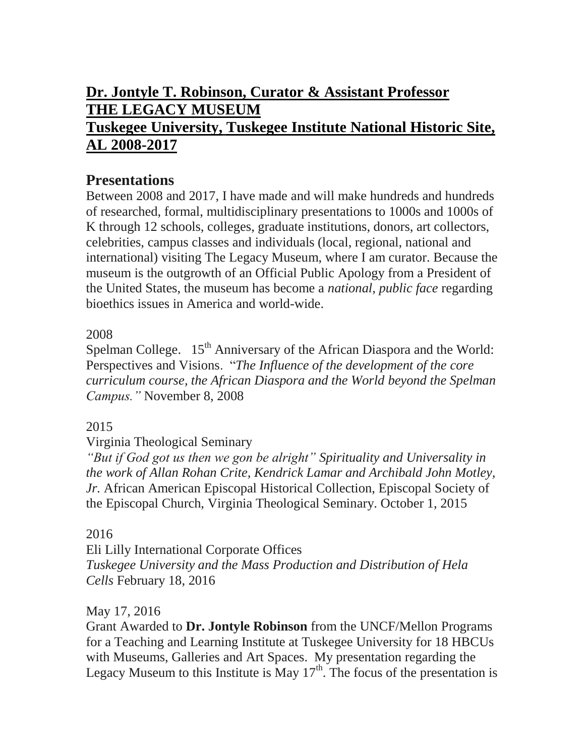# **Dr. Jontyle T. Robinson, Curator & Assistant Professor THE LEGACY MUSEUM Tuskegee University, Tuskegee Institute National Historic Site, AL 2008-2017**

## **Presentations**

Between 2008 and 2017, I have made and will make hundreds and hundreds of researched, formal, multidisciplinary presentations to 1000s and 1000s of K through 12 schools, colleges, graduate institutions, donors, art collectors, celebrities, campus classes and individuals (local, regional, national and international) visiting The Legacy Museum, where I am curator. Because the museum is the outgrowth of an Official Public Apology from a President of the United States, the museum has become a *national, public face* regarding bioethics issues in America and world-wide.

### 2008

Spelman College. 15<sup>th</sup> Anniversary of the African Diaspora and the World: Perspectives and Visions. "*The Influence of the development of the core curriculum course, the African Diaspora and the World beyond the Spelman Campus."* November 8, 2008

### 2015

#### Virginia Theological Seminary

*"But if God got us then we gon be alright" Spirituality and Universality in the work of Allan Rohan Crite, Kendrick Lamar and Archibald John Motley, Jr.* African American Episcopal Historical Collection, Episcopal Society of the Episcopal Church, Virginia Theological Seminary. October 1, 2015

#### 2016

Eli Lilly International Corporate Offices *Tuskegee University and the Mass Production and Distribution of Hela Cells* February 18, 2016

#### May 17, 2016

Grant Awarded to **Dr. Jontyle Robinson** from the UNCF/Mellon Programs for a Teaching and Learning Institute at Tuskegee University for 18 HBCUs with Museums, Galleries and Art Spaces. My presentation regarding the Legacy Museum to this Institute is May  $17<sup>th</sup>$ . The focus of the presentation is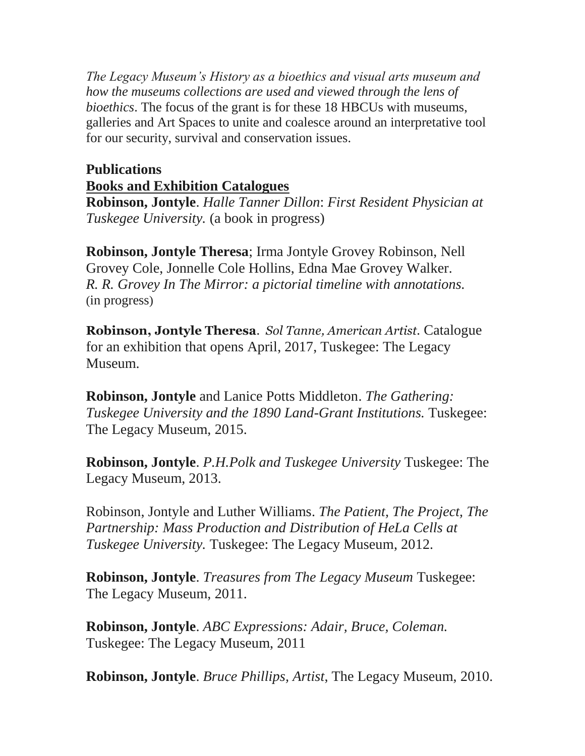*The Legacy Museum's History as a bioethics and visual arts museum and how the museums collections are used and viewed through the lens of bioethics*. The focus of the grant is for these 18 HBCUs with museums, galleries and Art Spaces to unite and coalesce around an interpretative tool for our security, survival and conservation issues.

## **Publications Books and Exhibition Catalogues**

**Robinson, Jontyle**. *Halle Tanner Dillon*: *First Resident Physician at Tuskegee University.* (a book in progress)

**Robinson, Jontyle Theresa**; Irma Jontyle Grovey Robinson, Nell Grovey Cole, Jonnelle Cole Hollins, Edna Mae Grovey Walker. *R. R. Grovey In The Mirror: a pictorial timeline with annotations.* (in progress)

**Robinson, Jontyle Theresa**. *Sol Tanne, American Artist.* Catalogue for an exhibition that opens April, 2017, Tuskegee: The Legacy Museum.

**Robinson, Jontyle** and Lanice Potts Middleton. *The Gathering: Tuskegee University and the 1890 Land-Grant Institutions.* Tuskegee: The Legacy Museum, 2015.

**Robinson, Jontyle**. *P.H.Polk and Tuskegee University* Tuskegee: The Legacy Museum, 2013.

Robinson, Jontyle and Luther Williams. *The Patient, The Project, The Partnership: Mass Production and Distribution of HeLa Cells at Tuskegee University.* Tuskegee: The Legacy Museum, 2012.

**Robinson, Jontyle**. *Treasures from The Legacy Museum* Tuskegee: The Legacy Museum, 2011.

**Robinson, Jontyle**. *ABC Expressions: Adair, Bruce, Coleman.* Tuskegee: The Legacy Museum, 2011

**Robinson, Jontyle**. *Bruce Phillips, Artist*, The Legacy Museum, 2010.